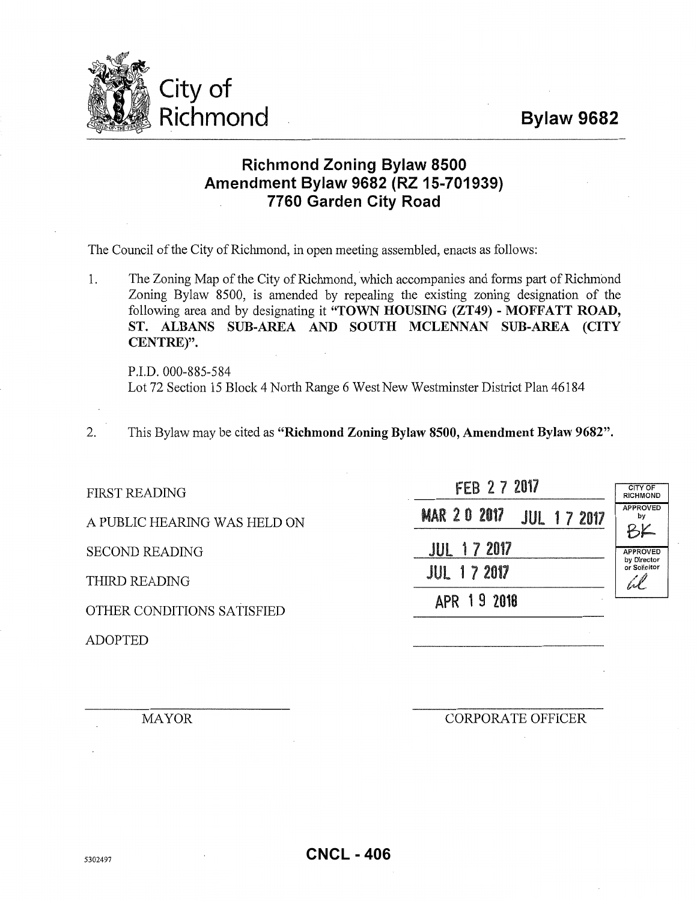

## **Richmond Zoning Bylaw 8500 Amendment Bylaw 9682 (RZ 15-701939) 7760 Garden City Road**

The Council of the City of Richmond, in open meeting assembled, enacts as follows:

1. The Zoning Map of the City of Richmond, which accompanies and forms part of Richmond Zoning Bylaw 8500, is amended by repealing the existing zoning designation of the following area and by designating it **"TOWN HOUSING (ZT49)- MOFFATT ROAD, ST. ALBANS SUB-AREA AND SOUTH MCLENNAN SUB-AREA (CITY CENTRE)".** 

P.I.D. 000-885-584 Lot 72 Section 15 Block 4 North Range 6 West New Westminster District Plan 46184

2. This Bylaw may be cited as **"Richmond Zoning Bylaw 8500, Amendment Bylaw 9682".** 

| <b>FIRST READING</b>         | FEB 2 7 2017                             | <b>CITY OF</b><br><b>RICHMOND</b>              |
|------------------------------|------------------------------------------|------------------------------------------------|
| A PUBLIC HEARING WAS HELD ON | <b>MAR 20 2017</b><br><b>JUL 17 2017</b> | <b>APPROVED</b><br>by<br>BK                    |
| <b>SECOND READING</b>        | <b>JUL 17 2017</b>                       | <b>APPROVED</b><br>by Director<br>or Solicitor |
| THIRD READING                | <b>JUL 17 2017</b>                       |                                                |
| OTHER CONDITIONS SATISFIED   | APR 19 2018                              |                                                |
| <b>ADOPTED</b>               |                                          |                                                |

MAYOR CORPORATE OFFICER